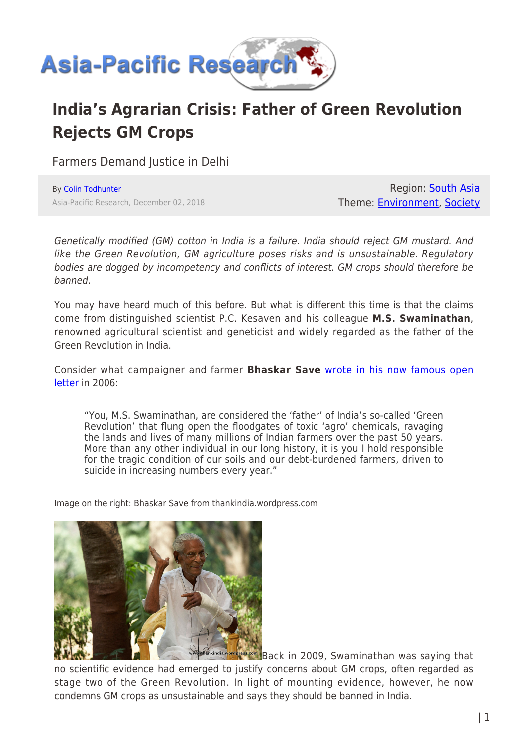

# **India's Agrarian Crisis: Father of Green Revolution Rejects GM Crops**

Farmers Demand Justice in Delhi

By [Colin Todhunter](https://www.asia-pacificresearch.com/author/colin-todhunter) Asia-Pacific Research, December 02, 2018

Region: [South Asia](https://www.asia-pacificresearch.com/region/south-asia) Theme: [Environment,](https://www.asia-pacificresearch.com/theme/environment) [Society](https://www.asia-pacificresearch.com/theme/society)

Genetically modified (GM) cotton in India is a failure. India should reject GM mustard. And like the Green Revolution, GM agriculture poses risks and is unsustainable. Regulatory bodies are dogged by incompetency and conflicts of interest. GM crops should therefore be banned.

You may have heard much of this before. But what is different this time is that the claims come from distinguished scientist P.C. Kesaven and his colleague **M.S. Swaminathan**, renowned agricultural scientist and geneticist and widely regarded as the father of the Green Revolution in India.

Consider what campaigner and farmer **Bhaskar Save** [wrote in his now famous open](https://www.countercurrents.org/todhunter251015.htm) [letter](https://www.countercurrents.org/todhunter251015.htm) in 2006:

"You, M.S. Swaminathan, are considered the 'father' of India's so-called 'Green Revolution' that flung open the floodgates of toxic 'agro' chemicals, ravaging the lands and lives of many millions of Indian farmers over the past 50 years. More than any other individual in our long history, it is you I hold responsible for the tragic condition of our soils and our debt-burdened farmers, driven to suicide in increasing numbers every year."

Image on the right: Bhaskar Save from thankindia.wordpress.com



**Exes.com** Back in 2009, Swaminathan was saving that no scientific evidence had emerged to justify concerns about GM crops, often regarded as stage two of the Green Revolution. In light of mounting evidence, however, he now condemns GM crops as unsustainable and says they should be banned in India.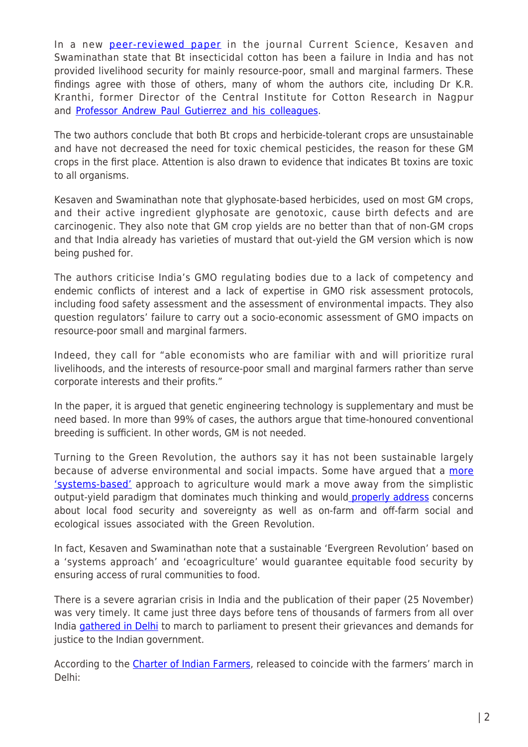In a new [peer-reviewed paper](http://www.currentscience.ac.in/Volumes/115/10/1876.pdf) in the journal Current Science, Kesaven and Swaminathan state that Bt insecticidal cotton has been a failure in India and has not provided livelihood security for mainly resource-poor, small and marginal farmers. These findings agree with those of others, many of whom the authors cite, including Dr K.R. Kranthi, former Director of the Central Institute for Cotton Research in Nagpur and [Professor Andrew Paul Gutierrez and his colleagues.](https://link.springer.com/article/10.1186/s12302-015-0043-8)

The two authors conclude that both Bt crops and herbicide-tolerant crops are unsustainable and have not decreased the need for toxic chemical pesticides, the reason for these GM crops in the first place. Attention is also drawn to evidence that indicates Bt toxins are toxic to all organisms.

Kesaven and Swaminathan note that glyphosate-based herbicides, used on most GM crops, and their active ingredient glyphosate are genotoxic, cause birth defects and are carcinogenic. They also note that GM crop yields are no better than that of non-GM crops and that India already has varieties of mustard that out-yield the GM version which is now being pushed for.

The authors criticise India's GMO regulating bodies due to a lack of competency and endemic conflicts of interest and a lack of expertise in GMO risk assessment protocols, including food safety assessment and the assessment of environmental impacts. They also question regulators' failure to carry out a socio-economic assessment of GMO impacts on resource-poor small and marginal farmers.

Indeed, they call for "able economists who are familiar with and will prioritize rural livelihoods, and the interests of resource-poor small and marginal farmers rather than serve corporate interests and their profits."

In the paper, it is argued that genetic engineering technology is supplementary and must be need based. In more than 99% of cases, the authors argue that time-honoured conventional breeding is sufficient. In other words, GM is not needed.

Turning to the Green Revolution, the authors say it has not been sustainable largely because of adverse environmental and social impacts. Some have argued that a [more](http://www.ask-force.org/web/Discourse/Ikerd-Need-Systems-Approach-1993.pdf) ['systems-based'](http://www.ask-force.org/web/Discourse/Ikerd-Need-Systems-Approach-1993.pdf) approach to agriculture would mark a move away from the simplistic output-yield paradigm that dominates much thinking and woul[d properly address](https://www.counterpunch.org/2018/05/18/dangerous-liaison-industrial-agriculture-and-the-reductionist-mindset/) concerns about local food security and sovereignty as well as on-farm and off-farm social and ecological issues associated with the Green Revolution.

In fact, Kesaven and Swaminathan note that a sustainable 'Evergreen Revolution' based on a 'systems approach' and 'ecoagriculture' would guarantee equitable food security by ensuring access of rural communities to food.

There is a severe agrarian crisis in India and the publication of their paper (25 November) was very timely. It came just three days before tens of thousands of farmers from all over India [gathered in Delhi](https://countercurrents.org/2018/11/30/hundred-thousand-farmers-lay-siege-to-indian-parliament/?fbclid=IwAR3zayNB4kPrkEBRH_S_NB-cOG8yxULgy9hZQ5vTpBAtXVv3yNA6tRz-r3M) to march to parliament to present their grievances and demands for justice to the Indian government.

According to the [Charter of Indian Farmers,](https://kafila.online/2018/12/01/the-kisan-charter-farmers-are-not-just-a-residue-from-our-past-they-are-integral-to-the-future-of-india-and-the-world/) released to coincide with the farmers' march in Delhi: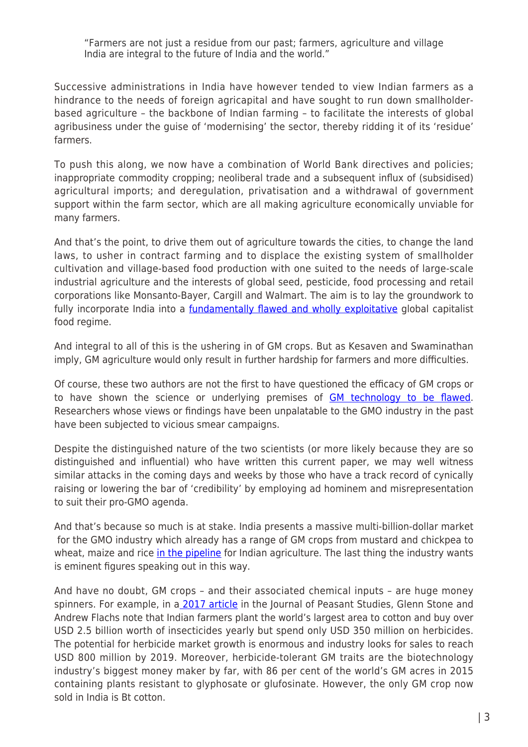"Farmers are not just a residue from our past; farmers, agriculture and village India are integral to the future of India and the world."

Successive administrations in India have however tended to view Indian farmers as a hindrance to the needs of foreign agricapital and have sought to run down smallholderbased agriculture – the backbone of Indian farming – to facilitate the interests of global agribusiness under the guise of 'modernising' the sector, thereby ridding it of its 'residue' farmers.

To push this along, we now have a combination of World Bank directives and policies; inappropriate commodity cropping; neoliberal trade and a subsequent influx of (subsidised) agricultural imports; and deregulation, privatisation and a withdrawal of government support within the farm sector, which are all making agriculture economically unviable for many farmers.

And that's the point, to drive them out of agriculture towards the cities, to change the land laws, to usher in contract farming and to displace the existing system of smallholder cultivation and village-based food production with one suited to the needs of large-scale industrial agriculture and the interests of global seed, pesticide, food processing and retail corporations like Monsanto-Bayer, Cargill and Walmart. The aim is to lay the groundwork to fully incorporate India into a [fundamentally flawed and wholly exploitative](https://www.counterpunch.org/2018/10/09/food-justice-violence-and-capitalism/) global capitalist food regime.

And integral to all of this is the ushering in of GM crops. But as Kesaven and Swaminathan imply, GM agriculture would only result in further hardship for farmers and more difficulties.

Of course, these two authors are not the first to have questioned the efficacy of GM crops or to have shown the science or underlying premises of [GM technology to be flawed.](https://www.gmwatch.org/en/news/latest-news/18582) Researchers whose views or findings have been unpalatable to the GMO industry in the past have been subjected to vicious smear campaigns.

Despite the distinguished nature of the two scientists (or more likely because they are so distinguished and influential) who have written this current paper, we may well witness similar attacks in the coming days and weeks by those who have a track record of cynically raising or lowering the bar of 'credibility' by employing ad hominem and misrepresentation to suit their pro-GMO agenda.

And that's because so much is at stake. India presents a massive multi-billion-dollar market for the GMO industry which already has a range of GM crops from mustard and chickpea to wheat, maize and rice [in the pipeline](https://theecologist.org/2015/nov/03/rice-wheat-mustard-india-drives-forward-first-gmo-crops-under-veil-secrecy) for Indian agriculture. The last thing the industry wants is eminent figures speaking out in this way.

And have no doubt, GM crops – and their associated chemical inputs – are huge money spinners. For example, in a [2017 article](http://pages.wustl.edu/files/pages/imce/stone/stone_flachs_2017_the_ox_fall_down.pdf) in the Journal of Peasant Studies, Glenn Stone and Andrew Flachs note that Indian farmers plant the world's largest area to cotton and buy over USD 2.5 billion worth of insecticides yearly but spend only USD 350 million on herbicides. The potential for herbicide market growth is enormous and industry looks for sales to reach USD 800 million by 2019. Moreover, herbicide-tolerant GM traits are the biotechnology industry's biggest money maker by far, with 86 per cent of the world's GM acres in 2015 containing plants resistant to glyphosate or glufosinate. However, the only GM crop now sold in India is Bt cotton.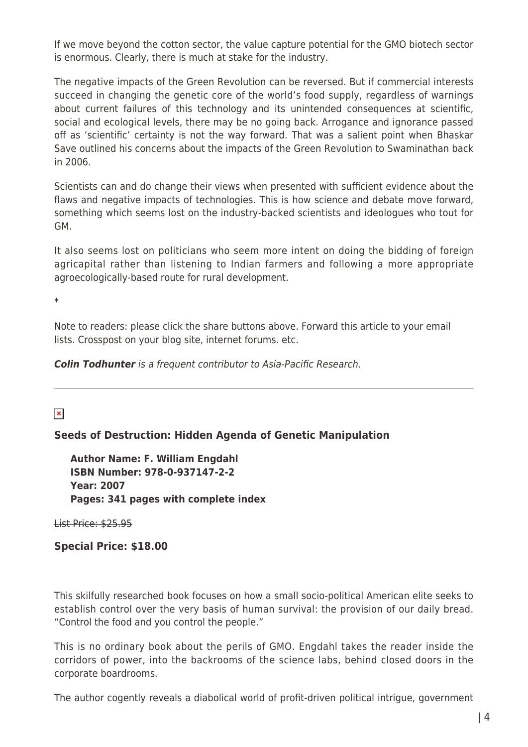If we move beyond the cotton sector, the value capture potential for the GMO biotech sector is enormous. Clearly, there is much at stake for the industry.

The negative impacts of the Green Revolution can be reversed. But if commercial interests succeed in changing the genetic core of the world's food supply, regardless of warnings about current failures of this technology and its unintended consequences at scientific, social and ecological levels, there may be no going back. Arrogance and ignorance passed off as 'scientific' certainty is not the way forward. That was a salient point when Bhaskar Save outlined his concerns about the impacts of the Green Revolution to Swaminathan back in 2006.

Scientists can and do change their views when presented with sufficient evidence about the flaws and negative impacts of technologies. This is how science and debate move forward, something which seems lost on the industry-backed scientists and ideologues who tout for GM.

It also seems lost on politicians who seem more intent on doing the bidding of foreign agricapital rather than listening to Indian farmers and following a more appropriate agroecologically-based route for rural development.

\*

Note to readers: please click the share buttons above. Forward this article to your email lists. Crosspost on your blog site, internet forums. etc.

*Colin Todhunter* is a frequent contributor to Asia-Pacific Research.

 $\pmb{\times}$ 

## **Seeds of Destruction: Hidden Agenda of Genetic Manipulation**

**Author Name: F. William Engdahl ISBN Number: 978-0-937147-2-2 Year: 2007 Pages: 341 pages with complete index**

List Price: \$25.95

**Special Price: \$18.00**

This skilfully researched book focuses on how a small socio-political American elite seeks to establish control over the very basis of human survival: the provision of our daily bread. "Control the food and you control the people."

This is no ordinary book about the perils of GMO. Engdahl takes the reader inside the corridors of power, into the backrooms of the science labs, behind closed doors in the corporate boardrooms.

The author cogently reveals a diabolical world of profit-driven political intrigue, government